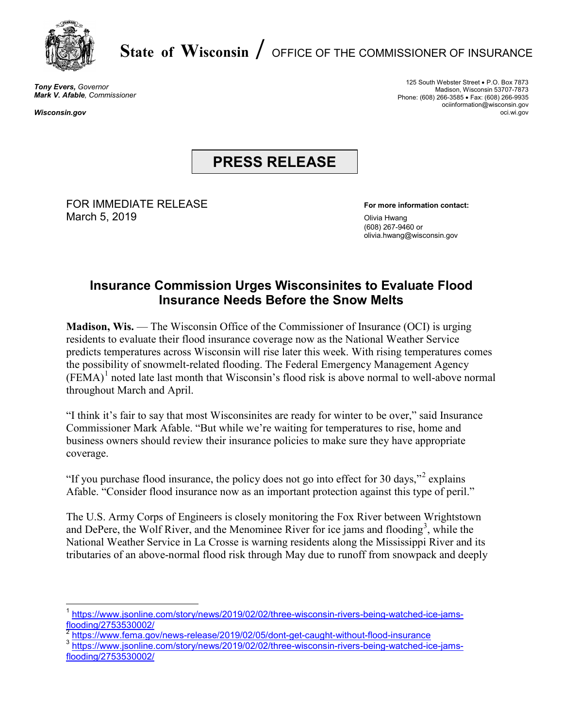

## **State of Wisconsin** /OFFICE OF THE COMMISSIONER OF INSURANCE

*Tony Evers, Governor Mark V. Afable, Commissioner*

*Wisconsin.gov*

125 South Webster Street • P.O. Box 7873 Madison, Wisconsin 53707-7873 Phone: (608) 266-3585 • Fax: (608) 266-9935 ociinformation@wisconsin.gov oci.wi.gov

## **PRESS RELEASE**

FOR IMMEDIATE RELEASE **For more information contact:** March 5, 2019 **March 5, 2019** 

(608) 267-9460 or olivia.hwang@wisconsin.gov

## **Insurance Commission Urges Wisconsinites to Evaluate Flood Insurance Needs Before the Snow Melts**

**Madison, Wis.** — The Wisconsin Office of the Commissioner of Insurance (OCI) is urging residents to evaluate their flood insurance coverage now as the National Weather Service predicts temperatures across Wisconsin will rise later this week. With rising temperatures comes the possibility of snowmelt-related flooding. The Federal Emergency Management Agency  $(FEMA)^1$  $(FEMA)^1$  noted late last month that Wisconsin's flood risk is above normal to well-above normal throughout March and April.

"I think it's fair to say that most Wisconsinites are ready for winter to be over," said Insurance Commissioner Mark Afable. "But while we're waiting for temperatures to rise, home and business owners should review their insurance policies to make sure they have appropriate coverage.

"If you purchase flood insurance, the policy does not go into effect for 30 days,"<sup>[2](#page-0-1)</sup> explains Afable. "Consider flood insurance now as an important protection against this type of peril."

The U.S. Army Corps of Engineers is closely monitoring the Fox River between Wrightstown and DePere, the Wolf River, and the Menominee River for ice jams and flooding<sup>[3](#page-0-2)</sup>, while the National Weather Service in La Crosse is warning residents along the Mississippi River and its tributaries of an above-normal flood risk through May due to runoff from snowpack and deeply

<span id="page-0-0"></span>[https://www.jsonline.com/story/news/2019/02/02/three-wisconsin-rivers-being-watched-ice-jams](https://www.jsonline.com/story/news/2019/02/02/three-wisconsin-rivers-being-watched-ice-jams-flooding/2753530002/)[flooding/2753530002/](https://www.jsonline.com/story/news/2019/02/02/three-wisconsin-rivers-being-watched-ice-jams-flooding/2753530002/)

<sup>&</sup>lt;sup>2</sup> <https://www.fema.gov/news-release/2019/02/05/dont-get-caught-without-flood-insurance>

<span id="page-0-2"></span><span id="page-0-1"></span><sup>&</sup>lt;sup>3</sup> [https://www.jsonline.com/story/news/2019/02/02/three-wisconsin-rivers-being-watched-ice-jams](https://www.jsonline.com/story/news/2019/02/02/three-wisconsin-rivers-being-watched-ice-jams-flooding/2753530002/)[flooding/2753530002/](https://www.jsonline.com/story/news/2019/02/02/three-wisconsin-rivers-being-watched-ice-jams-flooding/2753530002/)